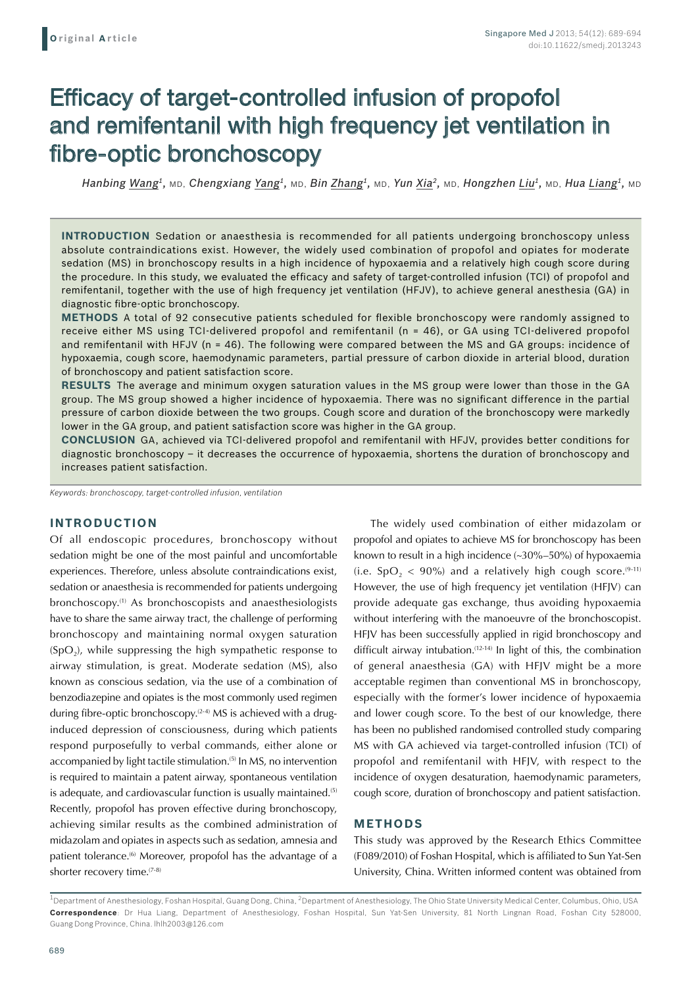# Efficacy of target-controlled infusion of propofol and remifentanil with high frequency jet ventilation in fibre-optic bronchoscopy

*Hanbing Wang1,* MD, *Chengxiang Yang1,* MD, *Bin Zhang1,* MD, *Yun Xia2,* MD, *Hongzhen Liu1,* MD, *Hua Liang1,* MD

**Introduction** Sedation or anaesthesia is recommended for all patients undergoing bronchoscopy unless absolute contraindications exist. However, the widely used combination of propofol and opiates for moderate sedation (MS) in bronchoscopy results in a high incidence of hypoxaemia and a relatively high cough score during the procedure. In this study, we evaluated the efficacy and safety of target-controlled infusion (TCI) of propofol and remifentanil, together with the use of high frequency jet ventilation (HFJV), to achieve general anesthesia (GA) in diagnostic fibre-optic bronchoscopy.

**Methods** A total of 92 consecutive patients scheduled for flexible bronchoscopy were randomly assigned to receive either MS using TCI-delivered propofol and remifentanil (n = 46), or GA using TCI-delivered propofol and remifentanil with HFJV (n = 46). The following were compared between the MS and GA groups: incidence of hypoxaemia, cough score, haemodynamic parameters, partial pressure of carbon dioxide in arterial blood, duration of bronchoscopy and patient satisfaction score.

**Results** The average and minimum oxygen saturation values in the MS group were lower than those in the GA group. The MS group showed a higher incidence of hypoxaemia. There was no significant difference in the partial pressure of carbon dioxide between the two groups. Cough score and duration of the bronchoscopy were markedly lower in the GA group, and patient satisfaction score was higher in the GA group.

**Conclusion** GA, achieved via TCI-delivered propofol and remifentanil with HFJV, provides better conditions for diagnostic bronchoscopy – it decreases the occurrence of hypoxaemia, shortens the duration of bronchoscopy and increases patient satisfaction.

*Keywords: bronchoscopy, target-controlled infusion, ventilation*

### **INTRODUCTION**

Of all endoscopic procedures, bronchoscopy without sedation might be one of the most painful and uncomfortable experiences. Therefore, unless absolute contraindications exist, sedation or anaesthesia is recommended for patients undergoing bronchoscopy.(1) As bronchoscopists and anaesthesiologists have to share the same airway tract, the challenge of performing bronchoscopy and maintaining normal oxygen saturation  $(SpO<sub>2</sub>)$ , while suppressing the high sympathetic response to airway stimulation, is great. Moderate sedation (MS), also known as conscious sedation, via the use of a combination of benzodiazepine and opiates is the most commonly used regimen during fibre-optic bronchoscopy.<sup> $(2-4)$ </sup> MS is achieved with a druginduced depression of consciousness, during which patients respond purposefully to verbal commands, either alone or accompanied by light tactile stimulation.<sup>(5)</sup> In MS, no intervention is required to maintain a patent airway, spontaneous ventilation is adequate, and cardiovascular function is usually maintained.<sup>(5)</sup> Recently, propofol has proven effective during bronchoscopy, achieving similar results as the combined administration of midazolam and opiates in aspects such as sedation, amnesia and patient tolerance.<sup>(6)</sup> Moreover, propofol has the advantage of a shorter recovery time.<sup>(7-8)</sup>

The widely used combination of either midazolam or propofol and opiates to achieve MS for bronchoscopy has been known to result in a high incidence (~30%–50%) of hypoxaemia (i.e.  $SpO_2$  < 90%) and a relatively high cough score.<sup>(9-11)</sup> However, the use of high frequency jet ventilation (HFJV) can provide adequate gas exchange, thus avoiding hypoxaemia without interfering with the manoeuvre of the bronchoscopist. HFJV has been successfully applied in rigid bronchoscopy and difficult airway intubation.<sup> $(12-14)$ </sup> In light of this, the combination of general anaesthesia (GA) with HFJV might be a more acceptable regimen than conventional MS in bronchoscopy, especially with the former's lower incidence of hypoxaemia and lower cough score. To the best of our knowledge, there has been no published randomised controlled study comparing MS with GA achieved via target-controlled infusion (TCI) of propofol and remifentanil with HFJV, with respect to the incidence of oxygen desaturation, haemodynamic parameters, cough score, duration of bronchoscopy and patient satisfaction.

## **METHODS**

This study was approved by the Research Ethics Committee (F089/2010) of Foshan Hospital, which is affiliated to Sun Yat-Sen University, China. Written informed content was obtained from

 $^{\rm 1}$ Department of Anesthesiology, Foshan Hospital, Guang Dong, China,  $^{\rm 2}$ Department of Anesthesiology, The Ohio State University Medical Center, Columbus, Ohio, USA **Correspondence**: Dr Hua Liang, Department of Anesthesiology, Foshan Hospital, Sun Yat-Sen University, 81 North Lingnan Road, Foshan City 528000, Guang Dong Province, China. lhlh2003@126.com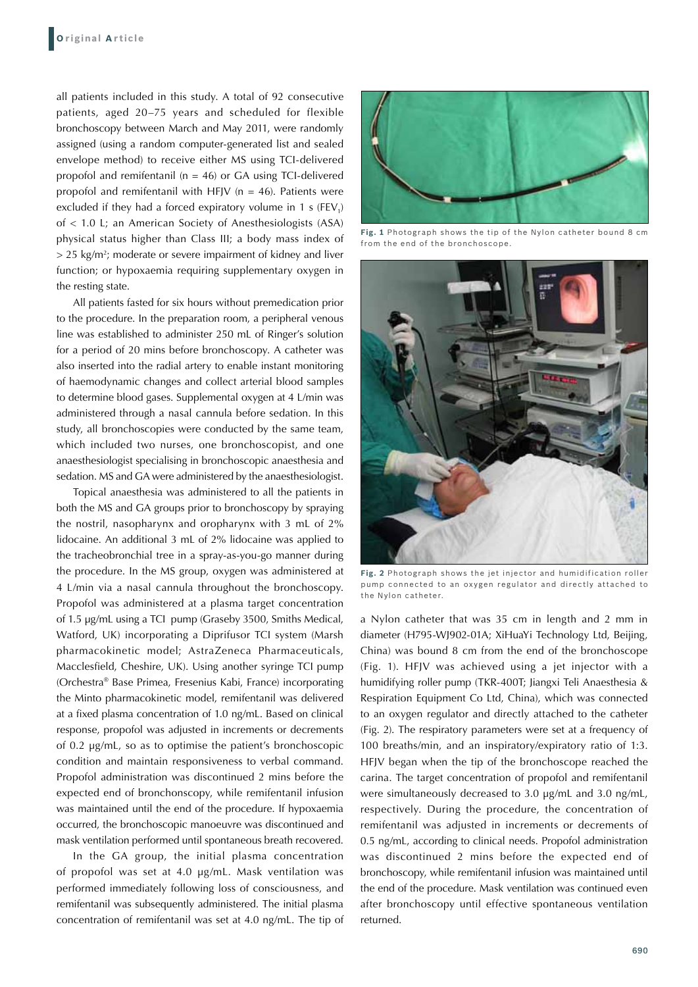all patients included in this study. A total of 92 consecutive patients, aged 20–75 years and scheduled for flexible bronchoscopy between March and May 2011, were randomly assigned (using a random computer-generated list and sealed envelope method) to receive either MS using TCI-delivered propofol and remifentanil ( $n = 46$ ) or GA using TCI-delivered propofol and remifentanil with HFJV ( $n = 46$ ). Patients were excluded if they had a forced expiratory volume in 1  $s$  (FEV<sub>1</sub>) of < 1.0 L; an American Society of Anesthesiologists (ASA) physical status higher than Class III; a body mass index of > 25 kg/m<sup>2</sup> ; moderate or severe impairment of kidney and liver function; or hypoxaemia requiring supplementary oxygen in the resting state.

All patients fasted for six hours without premedication prior to the procedure. In the preparation room, a peripheral venous line was established to administer 250 mL of Ringer's solution for a period of 20 mins before bronchoscopy. A catheter was also inserted into the radial artery to enable instant monitoring of haemodynamic changes and collect arterial blood samples to determine blood gases. Supplemental oxygen at 4 L/min was administered through a nasal cannula before sedation. In this study, all bronchoscopies were conducted by the same team, which included two nurses, one bronchoscopist, and one anaesthesiologist specialising in bronchoscopic anaesthesia and sedation. MS and GA were administered by the anaesthesiologist.

Topical anaesthesia was administered to all the patients in both the MS and GA groups prior to bronchoscopy by spraying the nostril, nasopharynx and oropharynx with 3 mL of 2% lidocaine. An additional 3 mL of 2% lidocaine was applied to the tracheobronchial tree in a spray-as-you-go manner during the procedure. In the MS group, oxygen was administered at 4 L/min via a nasal cannula throughout the bronchoscopy. Propofol was administered at a plasma target concentration of 1.5 μg/mL using a TCI pump (Graseby 3500, Smiths Medical, Watford, UK) incorporating a Diprifusor TCI system (Marsh pharmacokinetic model; AstraZeneca Pharmaceuticals, Macclesfield, Cheshire, UK). Using another syringe TCI pump (Orchestra® Base Primea, Fresenius Kabi, France) incorporating the Minto pharmacokinetic model, remifentanil was delivered at a fixed plasma concentration of 1.0 ng/mL. Based on clinical response, propofol was adjusted in increments or decrements of 0.2 μg/mL, so as to optimise the patient's bronchoscopic condition and maintain responsiveness to verbal command. Propofol administration was discontinued 2 mins before the expected end of bronchonscopy, while remifentanil infusion was maintained until the end of the procedure. If hypoxaemia occurred, the bronchoscopic manoeuvre was discontinued and mask ventilation performed until spontaneous breath recovered.

In the GA group, the initial plasma concentration of propofol was set at 4.0 μg/mL. Mask ventilation was performed immediately following loss of consciousness, and remifentanil was subsequently administered. The initial plasma concentration of remifentanil was set at 4.0 ng/mL. The tip of



**Fig. 1** Photograph shows the tip of the Nylon catheter bound 8 cm from the end of the bronchoscope.



**Fig. 2** Photograph shows the jet injector and humidification roller pump connected to an oxygen regulator and directly attached to the Nylon catheter.

a Nylon catheter that was 35 cm in length and 2 mm in diameter (H795-WJ902-01A; XiHuaYi Technology Ltd, Beijing, China) was bound 8 cm from the end of the bronchoscope (Fig. 1). HFJV was achieved using a jet injector with a humidifying roller pump (TKR-400T; Jiangxi Teli Anaesthesia & Respiration Equipment Co Ltd, China), which was connected to an oxygen regulator and directly attached to the catheter (Fig. 2). The respiratory parameters were set at a frequency of 100 breaths/min, and an inspiratory/expiratory ratio of 1:3. HFJV began when the tip of the bronchoscope reached the carina. The target concentration of propofol and remifentanil were simultaneously decreased to 3.0 μg/mL and 3.0 ng/mL, respectively. During the procedure, the concentration of remifentanil was adjusted in increments or decrements of 0.5 ng/mL, according to clinical needs. Propofol administration was discontinued 2 mins before the expected end of bronchoscopy, while remifentanil infusion was maintained until the end of the procedure. Mask ventilation was continued even after bronchoscopy until effective spontaneous ventilation returned.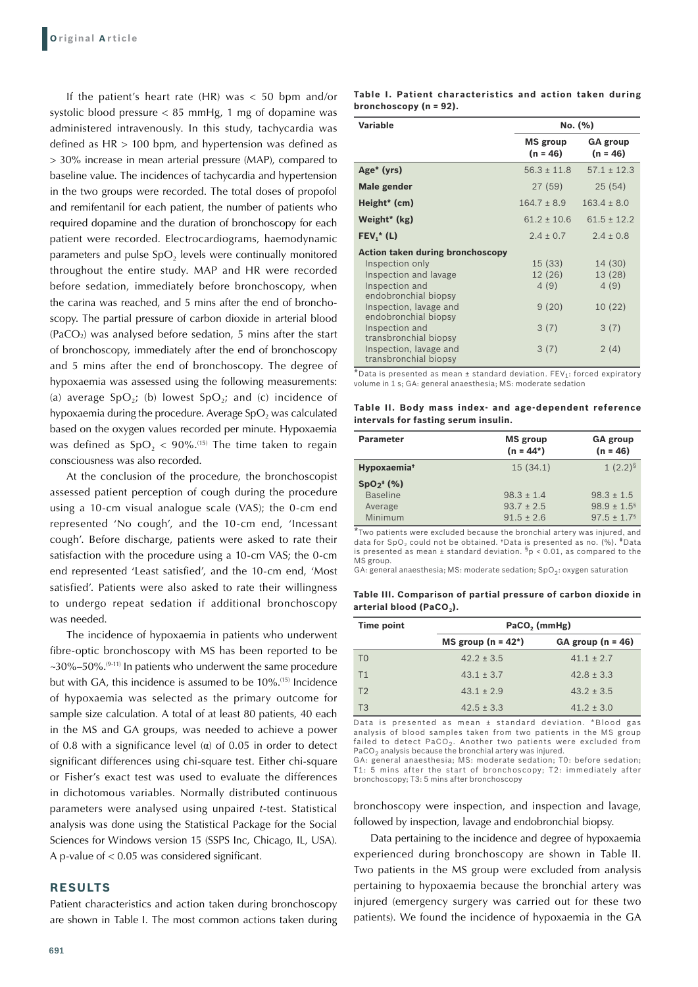If the patient's heart rate (HR) was  $<$  50 bpm and/or systolic blood pressure  $<$  85 mmHg, 1 mg of dopamine was administered intravenously. In this study, tachycardia was defined as  $HR > 100$  bpm, and hypertension was defined as > 30% increase in mean arterial pressure (MAP), compared to baseline value. The incidences of tachycardia and hypertension in the two groups were recorded. The total doses of propofol and remifentanil for each patient, the number of patients who required dopamine and the duration of bronchoscopy for each patient were recorded. Electrocardiograms, haemodynamic parameters and pulse SpO<sub>2</sub> levels were continually monitored throughout the entire study. MAP and HR were recorded before sedation, immediately before bronchoscopy, when the carina was reached, and 5 mins after the end of bronchoscopy. The partial pressure of carbon dioxide in arterial blood  $(PaCO<sub>2</sub>)$  was analysed before sedation, 5 mins after the start of bronchoscopy, immediately after the end of bronchoscopy and 5 mins after the end of bronchoscopy. The degree of hypoxaemia was assessed using the following measurements: (a) average  $SpO<sub>2</sub>$ ; (b) lowest  $SpO<sub>2</sub>$ ; and (c) incidence of hypoxaemia during the procedure. Average SpO<sub>2</sub> was calculated based on the oxygen values recorded per minute. Hypoxaemia was defined as  $SpO<sub>2</sub> < 90\%$ .<sup>(15)</sup> The time taken to regain consciousness was also recorded.

At the conclusion of the procedure, the bronchoscopist assessed patient perception of cough during the procedure using a 10-cm visual analogue scale (VAS); the 0-cm end represented 'No cough', and the 10-cm end, 'Incessant cough'. Before discharge, patients were asked to rate their satisfaction with the procedure using a 10-cm VAS; the 0-cm end represented 'Least satisfied', and the 10-cm end, 'Most satisfied'. Patients were also asked to rate their willingness to undergo repeat sedation if additional bronchoscopy was needed.

The incidence of hypoxaemia in patients who underwent fibre-optic bronchoscopy with MS has been reported to be  $\sim$ 30%–50%.<sup>(9-11)</sup> In patients who underwent the same procedure but with GA, this incidence is assumed to be 10%.(15) Incidence of hypoxaemia was selected as the primary outcome for sample size calculation. A total of at least 80 patients, 40 each in the MS and GA groups, was needed to achieve a power of 0.8 with a significance level  $(\alpha)$  of 0.05 in order to detect significant differences using chi-square test. Either chi-square or Fisher's exact test was used to evaluate the differences in dichotomous variables. Normally distributed continuous parameters were analysed using unpaired *t*-test. Statistical analysis was done using the Statistical Package for the Social Sciences for Windows version 15 (SSPS Inc, Chicago, IL, USA). A p-value of < 0.05 was considered significant.

#### **RESULTS**

Patient characteristics and action taken during bronchoscopy are shown in Table I. The most common actions taken during

|  |                            | Table I. Patient characteristics and action taken during |  |  |
|--|----------------------------|----------------------------------------------------------|--|--|
|  | bronchoscopy ( $n = 92$ ). |                                                          |  |  |

| Variable                                        | No. (%)                       |                               |  |
|-------------------------------------------------|-------------------------------|-------------------------------|--|
|                                                 | <b>MS</b> group<br>$(n = 46)$ | <b>GA</b> group<br>$(n = 46)$ |  |
| Age <sup>*</sup> (yrs)                          | $56.3 \pm 11.8$               | $57.1 \pm 12.3$               |  |
| Male gender                                     | 27(59)                        | 25(54)                        |  |
| Height* (cm)                                    | $164.7 \pm 8.9$               | $163.4 \pm 8.0$               |  |
| Weight* (kg)                                    | $61.2 \pm 10.6$               | $61.5 \pm 12.2$               |  |
| $FEV1* (L)$                                     | $2.4 \pm 0.7$                 | $2.4 \pm 0.8$                 |  |
| <b>Action taken during bronchoscopy</b>         |                               |                               |  |
| Inspection only                                 | 15(33)                        | 14 (30)                       |  |
| Inspection and lavage                           | 12 (26)                       | 13 (28)                       |  |
| Inspection and<br>endobronchial biopsy          | 4(9)                          | 4(9)                          |  |
| Inspection, lavage and<br>endobronchial biopsy  | 9(20)                         | 10 (22)                       |  |
| Inspection and<br>transbronchial biopsy         | 3(7)                          | 3(7)                          |  |
| Inspection, lavage and<br>transbronchial biopsy | 3(7)                          | 2(4)                          |  |

\*Data is presented as mean  $\pm$  standard deviation. FEV<sub>1</sub>: forced expiratory volume in 1 s; GA: general anaesthesia; MS: moderate sedation

**Table II. Body mass index- and age-dependent reference intervals for fasting serum insulin.**

| <b>Parameter</b>        | <b>MS</b> group<br>$(n = 44^*)$ | <b>GA</b> group<br>$(n = 46)$ |
|-------------------------|---------------------------------|-------------------------------|
| Hypoxaemia <sup>+</sup> | 15(34.1)                        | $1(2.2)^{9}$                  |
| $SpO_2^*$ (%)           |                                 |                               |
| <b>Baseline</b>         | $98.3 \pm 1.4$                  | $98.3 \pm 1.5$                |
| Average                 | $93.7 \pm 2.5$                  | $98.9 \pm 1.5$ <sup>§</sup>   |
| Minimum                 | $91.5 \pm 2.6$                  | $97.5 \pm 1.7$ <sup>§</sup>   |

\*Two patients were excluded because the bronchial artery was injured, and data for SpO<sub>2</sub> could not be obtained. <sup>†</sup>Data is presented as no. (%). <sup>‡</sup>Data is presented as mean  $\pm$  standard deviation.  ${}^{5}p$  < 0.01, as compared to the MS group.

GA: general anaesthesia; MS: moderate sedation; SpO<sub>2</sub>: oxygen saturation

**Table III. Comparison of partial pressure of carbon dioxide in**  arterial blood (PaCO<sub>2</sub>).

| <b>Time point</b> | $PaCO$ , (mmHg)       |                     |  |  |
|-------------------|-----------------------|---------------------|--|--|
|                   | MS group $(n = 42^*)$ | GA group $(n = 46)$ |  |  |
| T <sub>0</sub>    | $42.2 + 3.5$          | $41.1 \pm 2.7$      |  |  |
| T1                | $43.1 \pm 3.7$        | $42.8 \pm 3.3$      |  |  |
| T <sub>2</sub>    | $43.1 \pm 2.9$        | $43.2 \pm 3.5$      |  |  |
| T <sub>3</sub>    | $42.5 \pm 3.3$        | $41.2 \pm 3.0$      |  |  |

Data is presented as mean ± standard deviation. \*Blood gas analysis of blood samples taken from two patients in the MS group failed to detect  $PaCO<sub>2</sub>$ . Another two patients were excluded from PaCO<sub>2</sub> analysis because the bronchial artery was injured.<br>GA: general anaesthesia; MS: moderate sedation; T0: before sedation;

T1: 5 mins after the start of bronchoscopy; T2: immediately after bronchoscopy; T3: 5 mins after bronchoscopy

bronchoscopy were inspection, and inspection and lavage, followed by inspection, lavage and endobronchial biopsy.

Data pertaining to the incidence and degree of hypoxaemia experienced during bronchoscopy are shown in Table II. Two patients in the MS group were excluded from analysis pertaining to hypoxaemia because the bronchial artery was injured (emergency surgery was carried out for these two patients). We found the incidence of hypoxaemia in the GA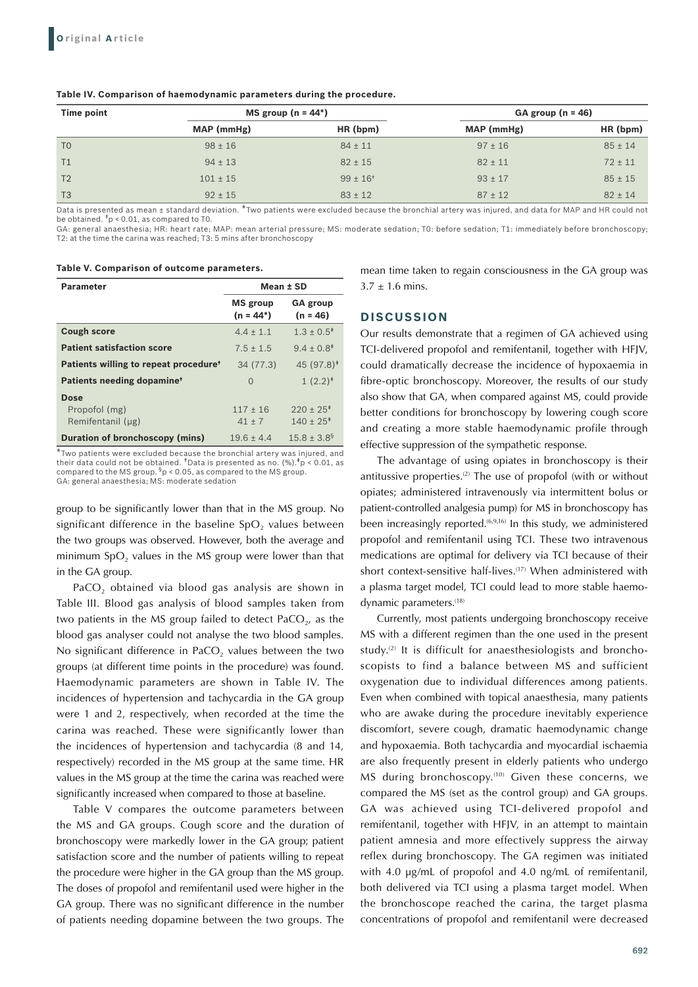| Time point     | MS group ( $n = 44$ <sup>*</sup> ) |                          | GA group $(n = 46)$ |             |
|----------------|------------------------------------|--------------------------|---------------------|-------------|
|                | MAP (mmHg)                         | HR (bpm)                 | MAP (mmHg)          | HR (bpm)    |
| T <sub>0</sub> | $98 \pm 16$                        | $84 \pm 11$              | $97 \pm 16$         | $85 \pm 14$ |
| T1             | $94 \pm 13$                        | $82 \pm 15$              | $82 \pm 11$         | $72 \pm 11$ |
| T <sub>2</sub> | $101 \pm 15$                       | $99 \pm 16$ <sup>t</sup> | $93 \pm 17$         | $85 \pm 15$ |
| T <sub>3</sub> | $92 \pm 15$                        | $83 \pm 12$              | $87 \pm 12$         | $82 \pm 14$ |

**Table IV. Comparison of haemodynamic parameters during the procedure.**

Data is presented as mean ± standard deviation. \*Two patients were excluded because the bronchial artery was injured, and data for MAP and HR could not be obtained. †p < 0.01, as compared to T0.

GA: general anaesthesia; HR: heart rate; MAP: mean arterial pressure; MS: moderate sedation; T0: before sedation; T1: immediately before bronchoscopy; T2: at the time the carina was reached;  $T3:5$  mins after bronchoscopy

**Table V. Comparison of outcome parameters.**

| <b>Parameter</b>                                  | Mean ± SD                       |                               |  |
|---------------------------------------------------|---------------------------------|-------------------------------|--|
|                                                   | <b>MS</b> group<br>$(n = 44^*)$ | <b>GA</b> group<br>$(n = 46)$ |  |
| <b>Cough score</b>                                | $4.4 + 1.1$                     | $1.3 \pm 0.5^*$               |  |
| <b>Patient satisfaction score</b>                 | $7.5 + 1.5$                     | $9.4 + 0.8^*$                 |  |
| Patients willing to repeat procedure <sup>+</sup> | 34(77.3)                        | $45(97.8)^*$                  |  |
| Patients needing dopamine <sup>+</sup>            | 0                               | $1(2.2)^*$                    |  |
| <b>Dose</b>                                       |                                 |                               |  |
| Propofol (mg)                                     | $117 + 16$                      | $220 + 25^*$                  |  |
| Remifentanil (µg)                                 | $41 + 7$                        | $140 \pm 25^*$                |  |
| Duration of bronchoscopy (mins)                   | $19.6 + 4.4$                    | $15.8 \pm 3.8$ <sup>§</sup>   |  |

\*Two patients were excluded because the bronchial artery was injured, and their data could not be obtained. <sup>†</sup>Data is presented as no. (%).<sup>‡</sup>p < 0.01, as<br>compared to the MS group. <sup>§</sup>p < 0.05, as compared to the MS group. GA: general anaesthesia; MS: moderate sedation

group to be significantly lower than that in the MS group. No significant difference in the baseline  $SpO<sub>2</sub>$  values between the two groups was observed. However, both the average and minimum  $SpO<sub>2</sub>$  values in the MS group were lower than that in the GA group.

PaCO<sub>2</sub> obtained via blood gas analysis are shown in Table III. Blood gas analysis of blood samples taken from two patients in the MS group failed to detect  $PaCO<sub>2</sub>$ , as the blood gas analyser could not analyse the two blood samples. No significant difference in PaCO<sub>2</sub> values between the two groups (at different time points in the procedure) was found. Haemodynamic parameters are shown in Table IV. The incidences of hypertension and tachycardia in the GA group were 1 and 2, respectively, when recorded at the time the carina was reached. These were significantly lower than the incidences of hypertension and tachycardia (8 and 14, respectively) recorded in the MS group at the same time. HR values in the MS group at the time the carina was reached were significantly increased when compared to those at baseline.

Table V compares the outcome parameters between the MS and GA groups. Cough score and the duration of bronchoscopy were markedly lower in the GA group; patient satisfaction score and the number of patients willing to repeat the procedure were higher in the GA group than the MS group. The doses of propofol and remifentanil used were higher in the GA group. There was no significant difference in the number of patients needing dopamine between the two groups. The mean time taken to regain consciousness in the GA group was  $3.7 \pm 1.6$  mins.

#### **DISCUSSION**

Our results demonstrate that a regimen of GA achieved using TCI-delivered propofol and remifentanil, together with HFJV, could dramatically decrease the incidence of hypoxaemia in fibre-optic bronchoscopy. Moreover, the results of our study also show that GA, when compared against MS, could provide better conditions for bronchoscopy by lowering cough score and creating a more stable haemodynamic profile through effective suppression of the sympathetic response.

The advantage of using opiates in bronchoscopy is their antitussive properties.(2) The use of propofol (with or without opiates; administered intravenously via intermittent bolus or patient-controlled analgesia pump) for MS in bronchoscopy has been increasingly reported.(6,9,16) In this study, we administered propofol and remifentanil using TCI. These two intravenous medications are optimal for delivery via TCI because of their short context-sensitive half-lives.(17) When administered with a plasma target model, TCI could lead to more stable haemodynamic parameters.<sup>(18)</sup>

Currently, most patients undergoing bronchoscopy receive MS with a different regimen than the one used in the present study.<sup>(2)</sup> It is difficult for anaesthesiologists and bronchoscopists to find a balance between MS and sufficient oxygenation due to individual differences among patients. Even when combined with topical anaesthesia, many patients who are awake during the procedure inevitably experience discomfort, severe cough, dramatic haemodynamic change and hypoxaemia. Both tachycardia and myocardial ischaemia are also frequently present in elderly patients who undergo MS during bronchoscopy.<sup>(10)</sup> Given these concerns, we compared the MS (set as the control group) and GA groups. GA was achieved using TCI-delivered propofol and remifentanil, together with HFJV, in an attempt to maintain patient amnesia and more effectively suppress the airway reflex during bronchoscopy. The GA regimen was initiated with 4.0 μg/mL of propofol and 4.0 ng/mL of remifentanil, both delivered via TCI using a plasma target model. When the bronchoscope reached the carina, the target plasma concentrations of propofol and remifentanil were decreased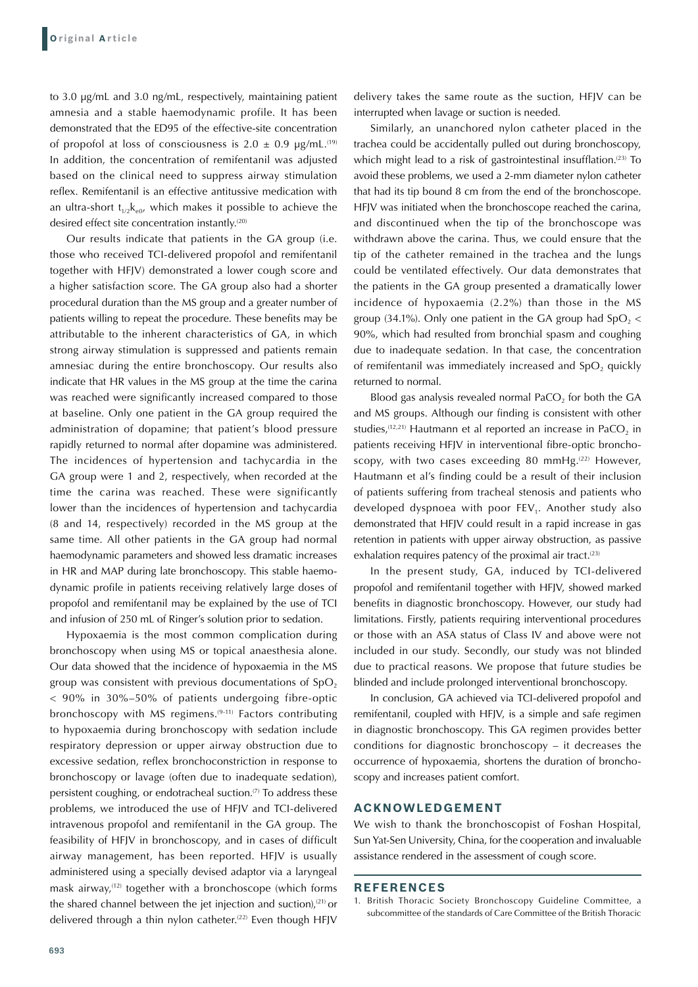to 3.0 μg/mL and 3.0 ng/mL, respectively, maintaining patient amnesia and a stable haemodynamic profile. It has been demonstrated that the ED95 of the effective-site concentration of propofol at loss of consciousness is  $2.0 \pm 0.9$  µg/mL.<sup>(19)</sup> In addition, the concentration of remifentanil was adjusted based on the clinical need to suppress airway stimulation reflex. Remifentanil is an effective antitussive medication with an ultra-short  $t_{1/2}k_{e0}$ , which makes it possible to achieve the desired effect site concentration instantly.<sup>(20)</sup>

Our results indicate that patients in the GA group (i.e. those who received TCI-delivered propofol and remifentanil together with HFJV) demonstrated a lower cough score and a higher satisfaction score. The GA group also had a shorter procedural duration than the MS group and a greater number of patients willing to repeat the procedure. These benefits may be attributable to the inherent characteristics of GA, in which strong airway stimulation is suppressed and patients remain amnesiac during the entire bronchoscopy. Our results also indicate that HR values in the MS group at the time the carina was reached were significantly increased compared to those at baseline. Only one patient in the GA group required the administration of dopamine; that patient's blood pressure rapidly returned to normal after dopamine was administered. The incidences of hypertension and tachycardia in the GA group were 1 and 2, respectively, when recorded at the time the carina was reached. These were significantly lower than the incidences of hypertension and tachycardia (8 and 14, respectively) recorded in the MS group at the same time. All other patients in the GA group had normal haemodynamic parameters and showed less dramatic increases in HR and MAP during late bronchoscopy. This stable haemodynamic profile in patients receiving relatively large doses of propofol and remifentanil may be explained by the use of TCI and infusion of 250 mL of Ringer's solution prior to sedation.

Hypoxaemia is the most common complication during bronchoscopy when using MS or topical anaesthesia alone. Our data showed that the incidence of hypoxaemia in the MS group was consistent with previous documentations of  $SpO<sub>2</sub>$ < 90% in 30%–50% of patients undergoing fibre-optic bronchoscopy with MS regimens.<sup>(9-11)</sup> Factors contributing to hypoxaemia during bronchoscopy with sedation include respiratory depression or upper airway obstruction due to excessive sedation, reflex bronchoconstriction in response to bronchoscopy or lavage (often due to inadequate sedation), persistent coughing, or endotracheal suction.(7) To address these problems, we introduced the use of HFJV and TCI-delivered intravenous propofol and remifentanil in the GA group. The feasibility of HFJV in bronchoscopy, and in cases of difficult airway management, has been reported. HFJV is usually administered using a specially devised adaptor via a laryngeal mask airway,(12) together with a bronchoscope (which forms the shared channel between the jet injection and suction), $(21)$  or delivered through a thin nylon catheter.<sup>(22)</sup> Even though HFJV

693

delivery takes the same route as the suction, HFJV can be interrupted when lavage or suction is needed.

Similarly, an unanchored nylon catheter placed in the trachea could be accidentally pulled out during bronchoscopy, which might lead to a risk of gastrointestinal insufflation.<sup>(23)</sup> To avoid these problems, we used a 2-mm diameter nylon catheter that had its tip bound 8 cm from the end of the bronchoscope. HFJV was initiated when the bronchoscope reached the carina, and discontinued when the tip of the bronchoscope was withdrawn above the carina. Thus, we could ensure that the tip of the catheter remained in the trachea and the lungs could be ventilated effectively. Our data demonstrates that the patients in the GA group presented a dramatically lower incidence of hypoxaemia (2.2%) than those in the MS group (34.1%). Only one patient in the GA group had  $SpO<sub>2</sub>$ 90%, which had resulted from bronchial spasm and coughing due to inadequate sedation. In that case, the concentration of remifentanil was immediately increased and  $SpO<sub>2</sub>$  quickly returned to normal.

Blood gas analysis revealed normal PaCO<sub>2</sub> for both the GA and MS groups. Although our finding is consistent with other studies, $(12,21)$  Hautmann et al reported an increase in PaCO<sub>2</sub> in patients receiving HFJV in interventional fibre-optic bronchoscopy, with two cases exceeding 80 mmHg. $(22)$  However, Hautmann et al's finding could be a result of their inclusion of patients suffering from tracheal stenosis and patients who developed dyspnoea with poor  $FEV<sub>1</sub>$ . Another study also demonstrated that HFJV could result in a rapid increase in gas retention in patients with upper airway obstruction, as passive exhalation requires patency of the proximal air tract.<sup> $(23)$ </sup>

In the present study, GA, induced by TCI-delivered propofol and remifentanil together with HFJV, showed marked benefits in diagnostic bronchoscopy. However, our study had limitations. Firstly, patients requiring interventional procedures or those with an ASA status of Class IV and above were not included in our study. Secondly, our study was not blinded due to practical reasons. We propose that future studies be blinded and include prolonged interventional bronchoscopy.

In conclusion, GA achieved via TCI-delivered propofol and remifentanil, coupled with HFJV, is a simple and safe regimen in diagnostic bronchoscopy. This GA regimen provides better conditions for diagnostic bronchoscopy – it decreases the occurrence of hypoxaemia, shortens the duration of bronchoscopy and increases patient comfort.

#### **ACKNOWLEDGEMENT**

We wish to thank the bronchoscopist of Foshan Hospital, Sun Yat-Sen University, China, for the cooperation and invaluable assistance rendered in the assessment of cough score.

#### **REFERENCES**

<sup>1.</sup> British Thoracic Society Bronchoscopy Guideline Committee, a subcommittee of the standards of Care Committee of the British Thoracic